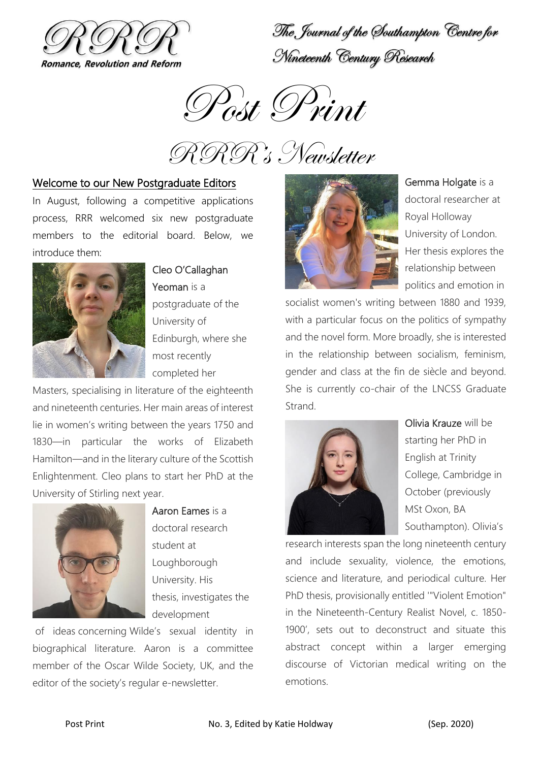

The Journal of the Southampton Centre for Nineteenth Century Research



RRR's Newsletter

### Welcome to our New Postgraduate Editors

In August, following a competitive applications process, RRR welcomed six new postgraduate members to the editorial board. Below, we introduce them:



Cleo O'Callaghan Yeoman is a postgraduate of the University of Edinburgh, where she most recently

completed her

Masters, specialising in literature of the eighteenth and nineteenth centuries. Her main areas of interest lie in women's writing between the years 1750 and 1830—in particular the works of Elizabeth Hamilton—and in the literary culture of the Scottish Enlightenment. Cleo plans to start her PhD at the University of Stirling next year.



Aaron Eames is a doctoral research student at Loughborough University. His thesis, investigates the development

of ideas concerning Wilde's sexual identity in biographical literature. Aaron is a committee member of the Oscar Wilde Society, UK, and the editor of the society's regular e-newsletter.



Gemma Holgate is a doctoral researcher at Royal Holloway University of London. Her thesis explores the relationship between politics and emotion in

socialist women's writing between 1880 and 1939, with a particular focus on the politics of sympathy and the novel form. More broadly, she is interested in the relationship between socialism, feminism, gender and class at the fin de siècle and beyond. She is currently co-chair of the LNCSS Graduate Strand.



Olivia Krauze will be starting her PhD in English at Trinity College, Cambridge in October (previously MSt Oxon, BA Southampton). Olivia's

research interests span the long nineteenth century and include sexuality, violence, the emotions, science and literature, and periodical culture. Her PhD thesis, provisionally entitled '"Violent Emotion" in the Nineteenth-Century Realist Novel, c. 1850- 1900', sets out to deconstruct and situate this abstract concept within a larger emerging discourse of Victorian medical writing on the emotions.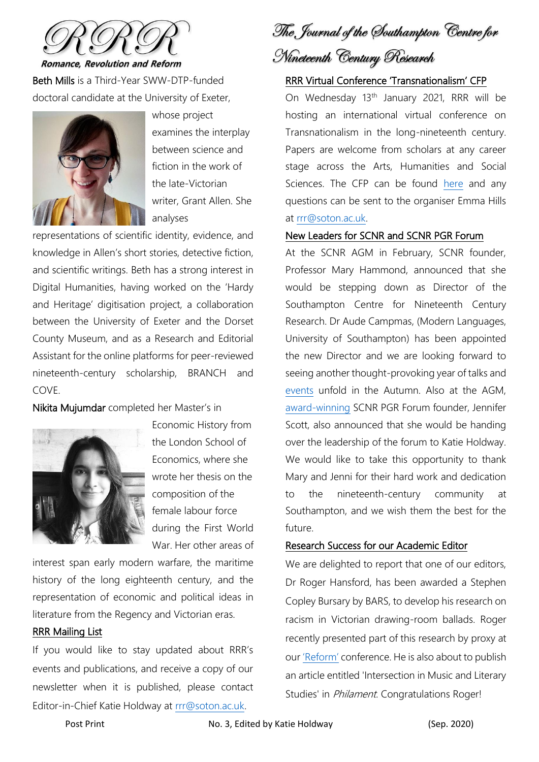

**Romance, Revolution and Reform** 

Beth Mills is a Third-Year SWW-DTP-funded doctoral candidate at the University of Exeter,



whose project examines the interplay between science and fiction in the work of the late-Victorian writer, Grant Allen. She analyses

representations of scientific identity, evidence, and knowledge in Allen's short stories, detective fiction, and scientific writings. Beth has a strong interest in Digital Humanities, having worked on the 'Hardy and Heritage' digitisation project, a collaboration between the University of Exeter and the Dorset County Museum, and as a Research and Editorial Assistant for the online platforms for peer-reviewed nineteenth-century scholarship, BRANCH and COVE.

Nikita Mujumdar completed her Master's in



Economic History from the London School of Economics, where she wrote her thesis on the composition of the female labour force during the First World War. Her other areas of

interest span early modern warfare, the maritime history of the long eighteenth century, and the representation of economic and political ideas in literature from the Regency and Victorian eras.

#### RRR Mailing List

If you would like to stay updated about RRR's events and publications, and receive a copy of our newsletter when it is published, please contact Editor-in-Chief Katie Holdway at [rrr@soton.ac.uk.](mailto:rrr@soton.ac.uk)

The Journal of the Southampton Centre for

# Nineteenth Century Research

#### RRR Virtual Conference 'Transnationalism' CFP

On Wednesday 13<sup>th</sup> January 2021, RRR will be hosting an international virtual conference on Transnationalism in the long-nineteenth century. Papers are welcome from scholars at any career stage across the Arts, Humanities and Social Sciences. The CFP can be found [here](https://www.rrrjournal.com/events) and any questions can be sent to the organiser Emma Hills at [rrr@soton.ac.uk.](mailto:rrr@soton.ac.uk)

#### New Leaders for SCNR and SCNR PGR Forum

At the SCNR AGM in February, SCNR founder, Professor Mary Hammond, announced that she would be stepping down as Director of the Southampton Centre for Nineteenth Century Research. Dr Aude Campmas, (Modern Languages, University of Southampton) has been appointed the new Director and we are looking forward to seeing another thought-provoking year of talks and [events](https://www.rrrjournal.com/events) unfold in the Autumn. Also at the AGM, [award-winning](https://www.southampton.ac.uk/humanities/news/2018/06/sncr-pg-award.page) SCNR PGR Forum founder, Jennifer Scott, also announced that she would be handing over the leadership of the forum to Katie Holdway. We would like to take this opportunity to thank Mary and Jenni for their hard work and dedication to the nineteenth-century community at Southampton, and we wish them the best for the future.

#### Research Success for our Academic Editor

We are delighted to report that one of our editors, Dr Roger Hansford, has been awarded a Stephen Copley Bursary by BARS, to develop his research on racism in Victorian drawing-room ballads. Roger recently presented part of this research by proxy at our ['Reform'](https://twitter.com/SupahSoton/status/1217378401302040576) conference. He is also about to publish an article entitled 'Intersection in Music and Literary Studies' in *Philament*. Congratulations Roger!